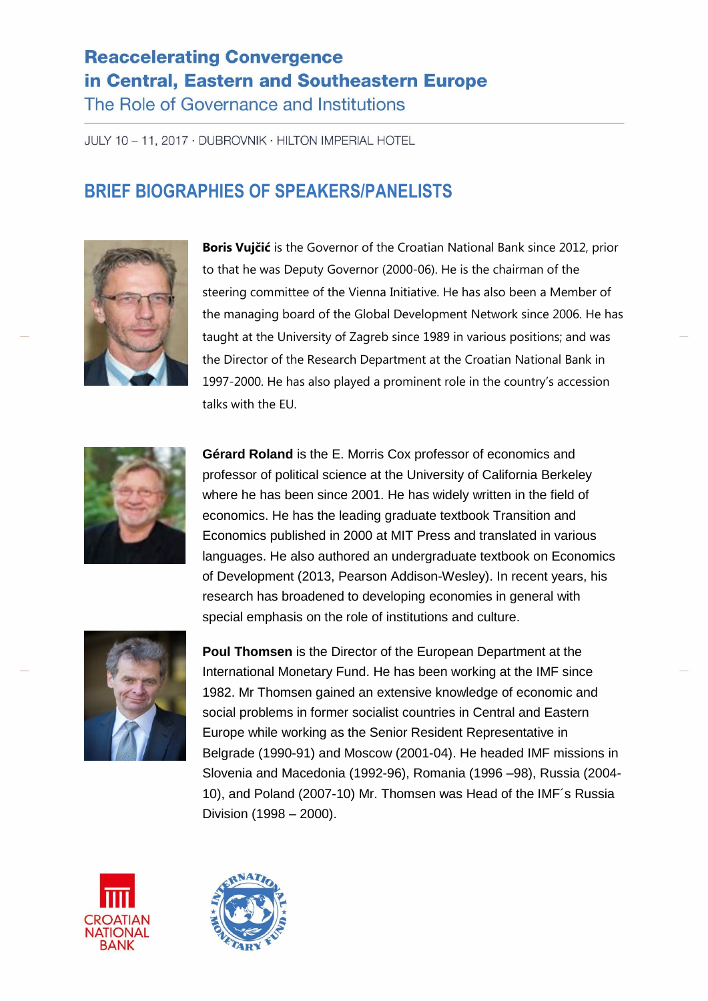## **Reaccelerating Convergence** in Central, Eastern and Southeastern Europe

The Role of Governance and Institutions

JULY 10 - 11, 2017 · DUBROVNIK · HILTON IMPERIAL HOTEL

## **BRIEF BIOGRAPHIES OF SPEAKERS/PANELISTS**



**Boris Vujčić** is the Governor of the Croatian National Bank since 2012, prior to that he was Deputy Governor (2000-06). He is the chairman of the steering committee of the Vienna Initiative. He has also been a Member of the managing board of the Global Development Network since 2006. He has taught at the University of Zagreb since 1989 in various positions; and was the Director of the Research Department at the Croatian National Bank in 1997-2000. He has also played a prominent role in the country's accession talks with the EU.



**Gérard Roland** is the E. Morris Cox professor of economics and professor of political science at the University of California Berkeley where he has been since 2001. He has widely written in the field of economics. He has the leading graduate textbook Transition and Economics published in 2000 at MIT Press and translated in various languages. He also authored an undergraduate textbook on Economics of Development (2013, Pearson Addison-Wesley). In recent years, his research has broadened to developing economies in general with special emphasis on the role of institutions and culture.



**Poul Thomsen** is the Director of the European Department at the International Monetary Fund. He has been working at the IMF since 1982. Mr Thomsen gained an extensive knowledge of economic and social problems in former socialist countries in Central and Eastern Europe while working as the Senior Resident Representative in Belgrade (1990-91) and Moscow (2001-04). He headed IMF missions in Slovenia and Macedonia (1992-96), Romania (1996 –98), Russia (2004- 10), and Poland (2007-10) Mr. Thomsen was Head of the IMF´s Russia Division (1998 – 2000).



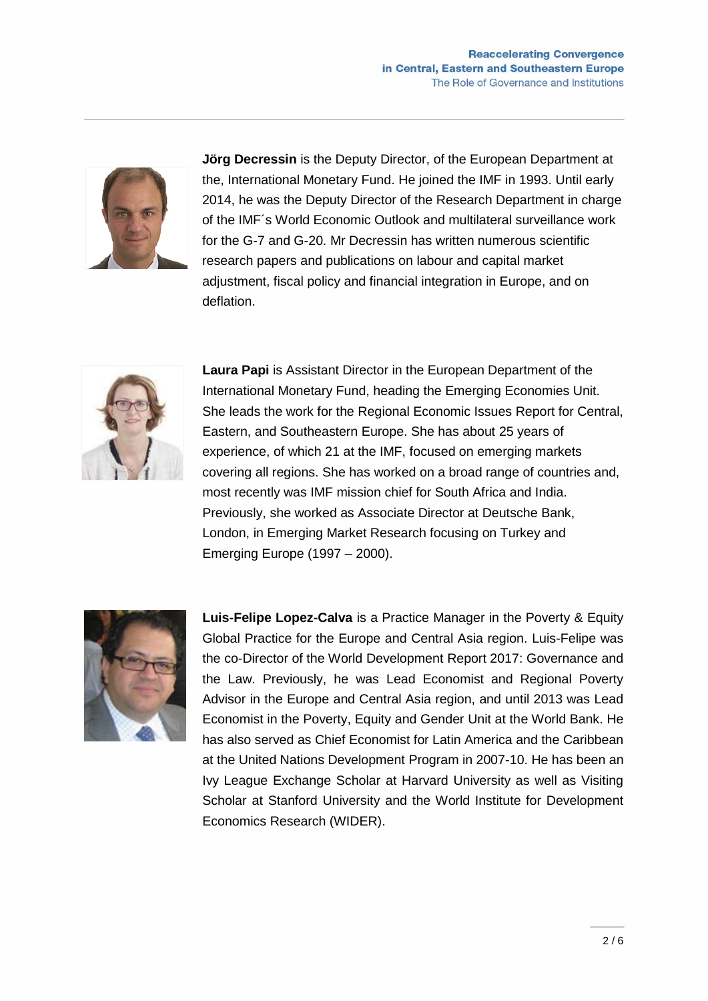

**Jörg Decressin** is the Deputy Director, of the European Department at the, International Monetary Fund. He joined the IMF in 1993. Until early 2014, he was the Deputy Director of the Research Department in charge of the IMF´s World Economic Outlook and multilateral surveillance work for the G-7 and G-20. Mr Decressin has written numerous scientific research papers and publications on labour and capital market adjustment, fiscal policy and financial integration in Europe, and on deflation.



**Laura Papi** is Assistant Director in the European Department of the International Monetary Fund, heading the Emerging Economies Unit. She leads the work for the Regional Economic Issues Report for Central, Eastern, and Southeastern Europe. She has about 25 years of experience, of which 21 at the IMF, focused on emerging markets covering all regions. She has worked on a broad range of countries and, most recently was IMF mission chief for South Africa and India. Previously, she worked as Associate Director at Deutsche Bank, London, in Emerging Market Research focusing on Turkey and Emerging Europe (1997 – 2000).



**Luis-Felipe Lopez-Calva** is a Practice Manager in the Poverty & Equity Global Practice for the Europe and Central Asia region. Luis-Felipe was the co-Director of the World Development Report 2017: Governance and the Law. Previously, he was Lead Economist and Regional Poverty Advisor in the Europe and Central Asia region, and until 2013 was Lead Economist in the Poverty, Equity and Gender Unit at the World Bank. He has also served as Chief Economist for Latin America and the Caribbean at the United Nations Development Program in 2007-10. He has been an Ivy League Exchange Scholar at Harvard University as well as Visiting Scholar at Stanford University and the World Institute for Development Economics Research (WIDER).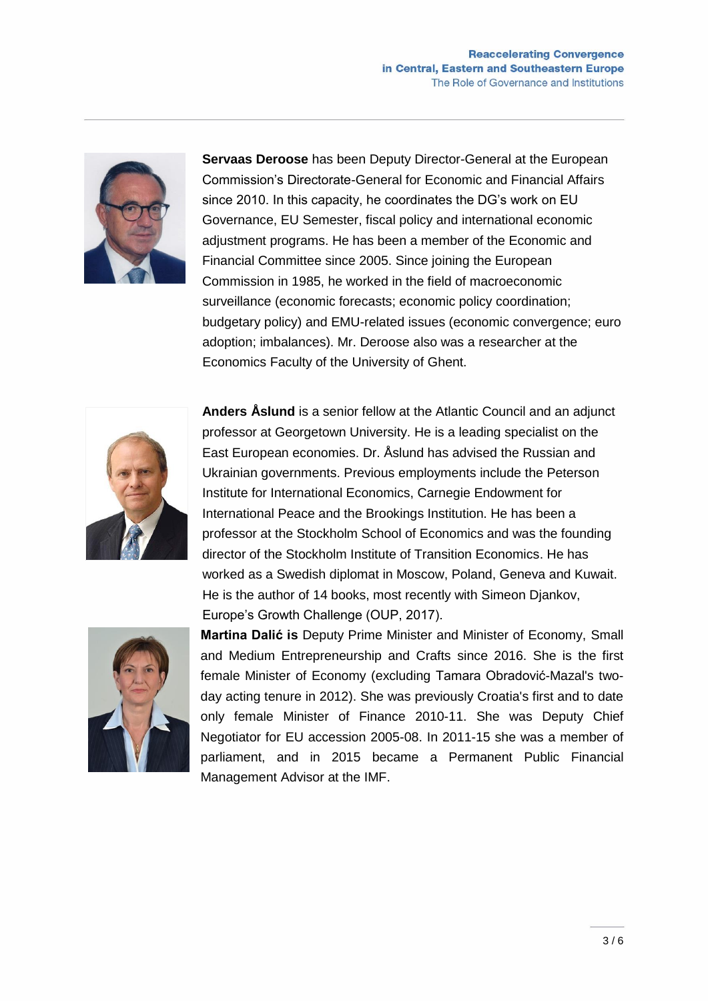

**Servaas Deroose** has been Deputy Director-General at the European Commission's Directorate-General for Economic and Financial Affairs since 2010. In this capacity, he coordinates the DG's work on EU Governance, EU Semester, fiscal policy and international economic adjustment programs. He has been a member of the Economic and Financial Committee since 2005. Since joining the European Commission in 1985, he worked in the field of macroeconomic surveillance (economic forecasts; economic policy coordination; budgetary policy) and EMU-related issues (economic convergence; euro adoption; imbalances). Mr. Deroose also was a researcher at the Economics Faculty of the University of Ghent.



**Anders Åslund** is a senior fellow at the Atlantic Council and an adjunct professor at Georgetown University. He is a leading specialist on the East European economies. Dr. Åslund has advised the Russian and Ukrainian governments. Previous employments include the Peterson Institute for International Economics, Carnegie Endowment for International Peace and the Brookings Institution. He has been a professor at the Stockholm School of Economics and was the founding director of the Stockholm Institute of Transition Economics. He has worked as a Swedish diplomat in Moscow, Poland, Geneva and Kuwait. He is the author of 14 books, most recently with Simeon Djankov, Europe's Growth Challenge (OUP, 2017).



**Martina Dalić is** Deputy Prime Minister and Minister of Economy, [Small](https://en.wikipedia.org/wiki/Ministry_of_Economy_(Croatia))  [and Medium Entrepreneurship and Crafts](https://en.wikipedia.org/wiki/Ministry_of_Economy_(Croatia)) since 2016. She is the first female Minister of Economy (excluding [Tamara Obradović-Mazal's](https://en.wikipedia.org/w/index.php?title=Tamara_Obradovi%C4%87-Mazal&action=edit&redlink=1) twoday acting tenure in 2012). She was previously Croatia's first and to date only female [Minister of Finance](https://en.wikipedia.org/wiki/Ministry_of_Finance_(Croatia)) 2010-11. She was Deputy Chief Negotiator for EU accession 2005-08. In 2011-15 she was a member of parliament, and in 2015 became a Permanent Public Financial Management Advisor at the IMF.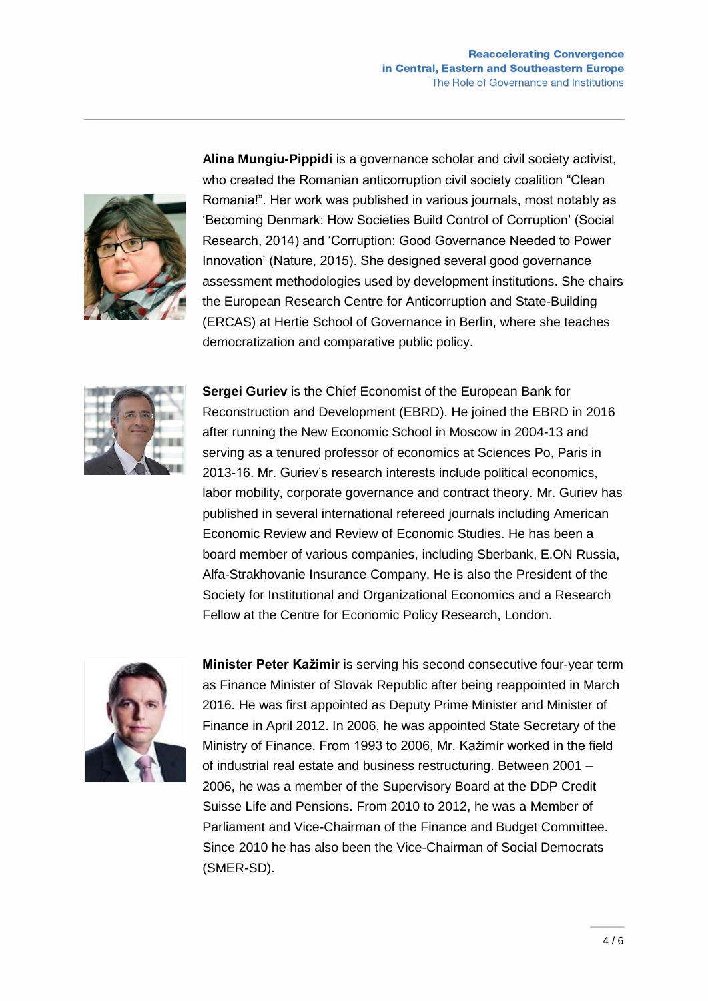

**Alina Mungiu-Pippidi** is a governance scholar and civil society activist, who created the Romanian anticorruption civil society coalition "Clean Romania!". Her work was published in various journals, most notably as 'Becoming Denmark: How Societies Build Control of Corruption' (Social Research, 2014) and 'Corruption: Good Governance Needed to Power Innovation' (Nature, 2015). She designed several good governance assessment methodologies used by development institutions. She chairs the European Research Centre for Anticorruption and State-Building (ERCAS) at Hertie School of Governance in Berlin, where she teaches democratization and comparative public policy.



**Sergei Guriev** is the Chief Economist of the European Bank for Reconstruction and Development (EBRD). He joined the EBRD in 2016 after running the New Economic School in Moscow in 2004-13 and serving as a tenured professor of economics at Sciences Po, Paris in 2013-16. Mr. Guriev's research interests include political economics, labor mobility, corporate governance and contract theory. Mr. Guriev has published in several international refereed journals including American Economic Review and Review of Economic Studies. He has been a board member of various companies, including Sberbank, E.ON Russia, Alfa-Strakhovanie Insurance Company. He is also the President of the Society for Institutional and Organizational Economics and a Research Fellow at the Centre for Economic Policy Research, London.



**Minister Peter Kažimir** is serving his second consecutive four-year term as Finance Minister of Slovak Republic after being reappointed in March 2016. He was first appointed as Deputy Prime Minister and Minister of Finance in April 2012. In 2006, he was appointed State Secretary of the Ministry of Finance. From 1993 to 2006, Mr. Kažimír worked in the field of industrial real estate and business restructuring. Between 2001 – 2006, he was a member of the Supervisory Board at the DDP Credit Suisse Life and Pensions. From 2010 to 2012, he was a Member of Parliament and Vice-Chairman of the Finance and Budget Committee. Since 2010 he has also been the Vice-Chairman of Social Democrats (SMER-SD).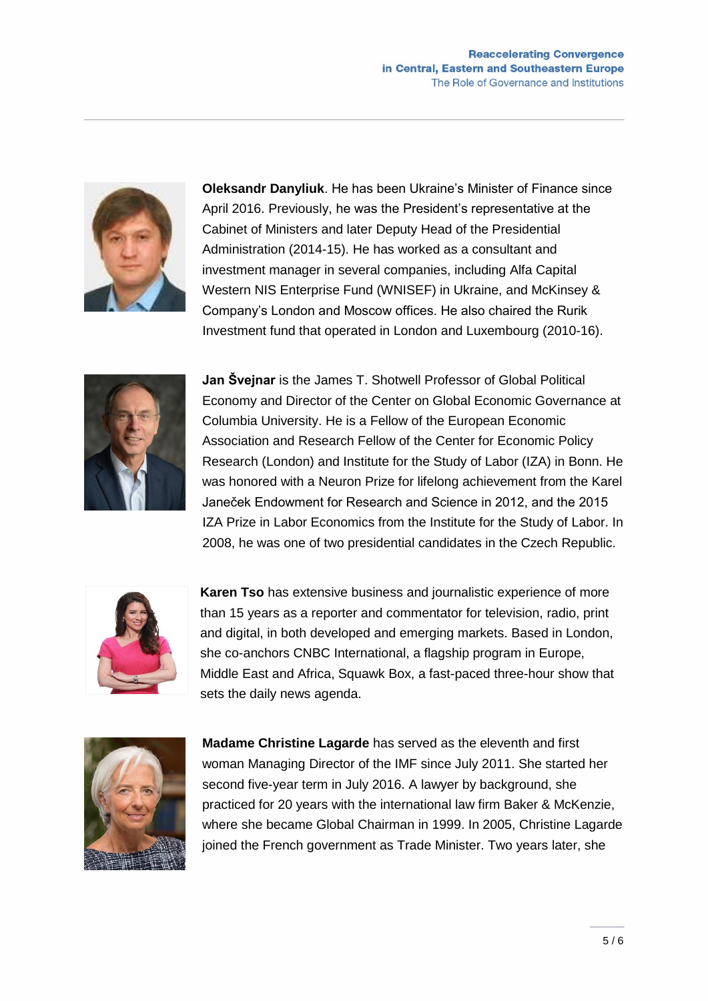

**Oleksandr Danyliuk**. He has been Ukraine's Minister of Finance since April 2016. Previously, he was the President's representative at the Cabinet of Ministers and later Deputy Head of the Presidential Administration (2014-15). He has worked as a consultant and investment manager in several companies, including Alfa Capital Western NIS Enterprise Fund (WNISEF) in Ukraine, and McKinsey & Company's London and Moscow offices. He also chaired the Rurik Investment fund that operated in London and Luxembourg (2010-16).



**Jan Švejnar** is the James T. Shotwell Professor of Global Political Economy and Director of the Center on Global Economic Governance at Columbia University. He is a Fellow of the European Economic Association and Research Fellow of the Center for Economic Policy Research (London) and Institute for the Study of Labor (IZA) in Bonn. He was honored with a Neuron Prize for lifelong achievement from the Karel Janeček Endowment for Research and Science in 2012, and the 2015 IZA Prize in Labor Economics from the Institute for the Study of Labor. In 2008, he was one of two presidential candidates in the Czech Republic.



**Karen Tso** has extensive business and journalistic experience of more than 15 years as a reporter and commentator for television, radio, print and digital, in both developed and emerging markets. Based in London, she co-anchors CNBC International, a flagship program in Europe, Middle East and Africa, Squawk Box, a fast-paced three-hour show that sets the daily news agenda.



**Madame Christine Lagarde** has served as the eleventh and first woman Managing Director of the IMF since July 2011. She started her second five-year term in July 2016. A lawyer by background, she practiced for 20 years with the international law firm Baker & McKenzie, where she became Global Chairman in 1999. In 2005, Christine Lagarde joined the French government as Trade Minister. Two years later, she